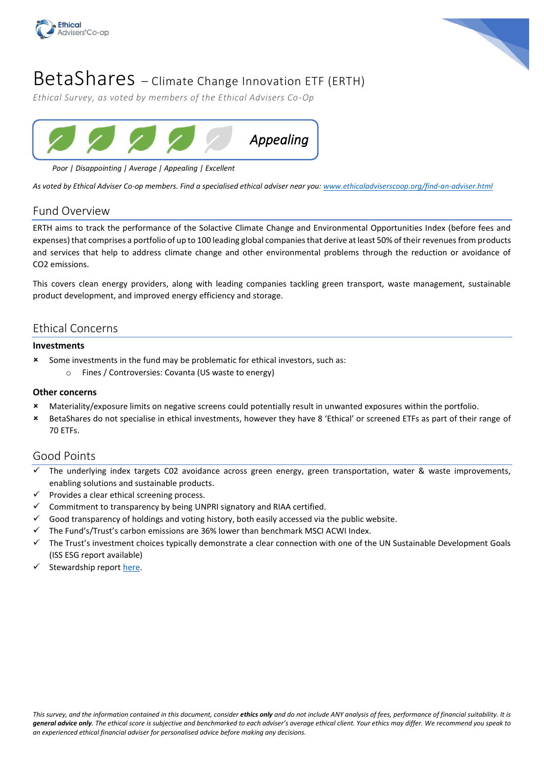



# BetaShares – Climate Change Innovation ETF (ERTH)

*Ethical Survey, as voted by members of the Ethical Advisers Co-Op*



# *Poor | Disappointing | Average | Appealing | Excellent*

*As voted by Ethical Adviser Co-op members. Find a specialised ethical adviser near you: [www.ethicaladviserscoop.org/find-an-adviser.html](http://www.ethicaladviserscoop.org/find-an-adviser.html)*

# Fund Overview

ERTH aims to track the performance of the Solactive Climate Change and Environmental Opportunities Index (before fees and expenses) that comprises a portfolio of up to 100 leading global companies that derive at least 50% of their revenues from products and services that help to address climate change and other environmental problems through the reduction or avoidance of CO2 emissions.

This covers clean energy providers, along with leading companies tackling green transport, waste management, sustainable product development, and improved energy efficiency and storage.

# Ethical Concerns

### **Investments**

- Some investments in the fund may be problematic for ethical investors, such as:
	- o Fines / Controversies: Covanta (US waste to energy)

### **Other concerns**

- Materiality/exposure limits on negative screens could potentially result in unwanted exposures within the portfolio.
- BetaShares do not specialise in ethical investments, however they have 8 'Ethical' or screened ETFs as part of their range of 70 ETFs.

# Good Points

- The underlying index targets C02 avoidance across green energy, green transportation, water & waste improvements, enabling solutions and sustainable products.
- Provides a clear ethical screening process.
- Commitment to transparency by being UNPRI signatory and RIAA certified.
- Good transparency of holdings and voting history, both easily accessed via the public website.
- The Fund's/Trust's carbon emissions are 36% lower than benchmark MSCI ACWI Index.
- ✓ The Trust's investment choices typically demonstrate a clear connection with one of the UN Sustainable Development Goals (ISS ESG report available)
- Stewardship repor[t here.](https://www.betashares.com.au/files/regulatory/Stewardship-report/2020-stewardship-report.pdf)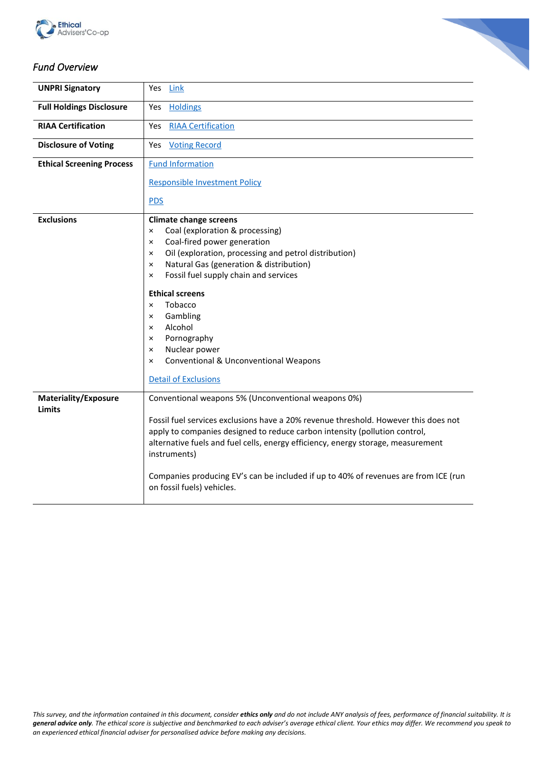



# *Fund Overview*

| <b>UNPRI Signatory</b>           | Yes<br>Link                                                                                                                                                       |
|----------------------------------|-------------------------------------------------------------------------------------------------------------------------------------------------------------------|
| <b>Full Holdings Disclosure</b>  | <b>Holdings</b><br>Yes                                                                                                                                            |
| <b>RIAA Certification</b>        | <b>RIAA Certification</b><br>Yes                                                                                                                                  |
| <b>Disclosure of Voting</b>      | Yes<br><b>Voting Record</b>                                                                                                                                       |
| <b>Ethical Screening Process</b> | <b>Fund Information</b>                                                                                                                                           |
|                                  | <b>Responsible Investment Policy</b>                                                                                                                              |
|                                  | <b>PDS</b>                                                                                                                                                        |
| <b>Exclusions</b>                | <b>Climate change screens</b>                                                                                                                                     |
|                                  | Coal (exploration & processing)<br>×                                                                                                                              |
|                                  | Coal-fired power generation<br>×                                                                                                                                  |
|                                  | Oil (exploration, processing and petrol distribution)<br>×                                                                                                        |
|                                  | Natural Gas (generation & distribution)<br>×                                                                                                                      |
|                                  | Fossil fuel supply chain and services<br>×                                                                                                                        |
|                                  | <b>Ethical screens</b>                                                                                                                                            |
|                                  | Tobacco<br>$\times$                                                                                                                                               |
|                                  | Gambling<br>×                                                                                                                                                     |
|                                  | Alcohol<br>×                                                                                                                                                      |
|                                  | Pornography<br>×                                                                                                                                                  |
|                                  | Nuclear power<br>×                                                                                                                                                |
|                                  | Conventional & Unconventional Weapons<br>×                                                                                                                        |
|                                  | <b>Detail of Exclusions</b>                                                                                                                                       |
| <b>Materiality/Exposure</b>      | Conventional weapons 5% (Unconventional weapons 0%)                                                                                                               |
| <b>Limits</b>                    |                                                                                                                                                                   |
|                                  | Fossil fuel services exclusions have a 20% revenue threshold. However this does not<br>apply to companies designed to reduce carbon intensity (pollution control, |
|                                  | alternative fuels and fuel cells, energy efficiency, energy storage, measurement<br>instruments)                                                                  |
|                                  | Companies producing EV's can be included if up to 40% of revenues are from ICE (run<br>on fossil fuels) vehicles.                                                 |